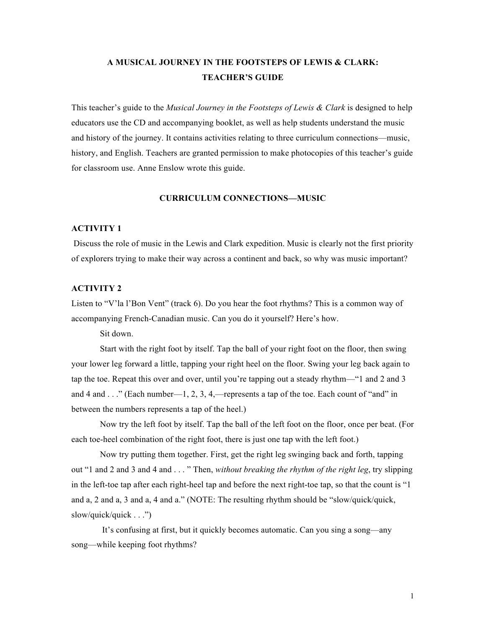# **A MUSICAL JOURNEY IN THE FOOTSTEPS OF LEWIS & CLARK: TEACHER'S GUIDE**

This teacher's guide to the *Musical Journey in the Footsteps of Lewis & Clark* is designed to help educators use the CD and accompanying booklet, as well as help students understand the music and history of the journey. It contains activities relating to three curriculum connections—music, history, and English. Teachers are granted permission to make photocopies of this teacher's guide for classroom use. Anne Enslow wrote this guide.

# **CURRICULUM CONNECTIONS—MUSIC**

# **ACTIVITY 1**

Discuss the role of music in the Lewis and Clark expedition. Music is clearly not the first priority of explorers trying to make their way across a continent and back, so why was music important?

# **ACTIVITY 2**

Listen to "V'la l'Bon Vent" (track 6). Do you hear the foot rhythms? This is a common way of accompanying French-Canadian music. Can you do it yourself? Here's how.

Sit down.

Start with the right foot by itself. Tap the ball of your right foot on the floor, then swing your lower leg forward a little, tapping your right heel on the floor. Swing your leg back again to tap the toe. Repeat this over and over, until you're tapping out a steady rhythm—"1 and 2 and 3 and 4 and  $\dots$ " (Each number—1, 2, 3, 4,—represents a tap of the toe. Each count of "and" in between the numbers represents a tap of the heel.)

Now try the left foot by itself. Tap the ball of the left foot on the floor, once per beat. (For each toe-heel combination of the right foot, there is just one tap with the left foot.)

Now try putting them together. First, get the right leg swinging back and forth, tapping out "1 and 2 and 3 and 4 and . . . " Then, *without breaking the rhythm of the right leg*, try slipping in the left-toe tap after each right-heel tap and before the next right-toe tap, so that the count is "1 and a, 2 and a, 3 and a, 4 and a." (NOTE: The resulting rhythm should be "slow/quick/quick, slow/quick/quick . . .")

It's confusing at first, but it quickly becomes automatic. Can you sing a song—any song—while keeping foot rhythms?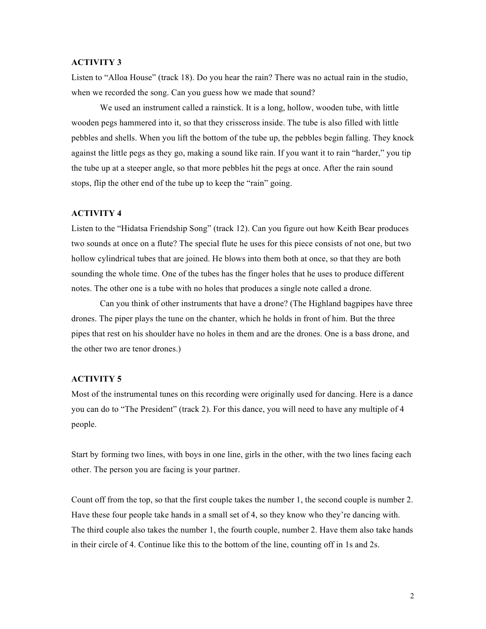# **ACTIVITY 3**

Listen to "Alloa House" (track 18). Do you hear the rain? There was no actual rain in the studio, when we recorded the song. Can you guess how we made that sound?

We used an instrument called a rainstick. It is a long, hollow, wooden tube, with little wooden pegs hammered into it, so that they crisscross inside. The tube is also filled with little pebbles and shells. When you lift the bottom of the tube up, the pebbles begin falling. They knock against the little pegs as they go, making a sound like rain. If you want it to rain "harder," you tip the tube up at a steeper angle, so that more pebbles hit the pegs at once. After the rain sound stops, flip the other end of the tube up to keep the "rain" going.

#### **ACTIVITY 4**

Listen to the "Hidatsa Friendship Song" (track 12). Can you figure out how Keith Bear produces two sounds at once on a flute? The special flute he uses for this piece consists of not one, but two hollow cylindrical tubes that are joined. He blows into them both at once, so that they are both sounding the whole time. One of the tubes has the finger holes that he uses to produce different notes. The other one is a tube with no holes that produces a single note called a drone.

Can you think of other instruments that have a drone? (The Highland bagpipes have three drones. The piper plays the tune on the chanter, which he holds in front of him. But the three pipes that rest on his shoulder have no holes in them and are the drones. One is a bass drone, and the other two are tenor drones.)

#### **ACTIVITY 5**

Most of the instrumental tunes on this recording were originally used for dancing. Here is a dance you can do to "The President" (track 2). For this dance, you will need to have any multiple of 4 people.

Start by forming two lines, with boys in one line, girls in the other, with the two lines facing each other. The person you are facing is your partner.

Count off from the top, so that the first couple takes the number 1, the second couple is number 2. Have these four people take hands in a small set of 4, so they know who they're dancing with. The third couple also takes the number 1, the fourth couple, number 2. Have them also take hands in their circle of 4. Continue like this to the bottom of the line, counting off in 1s and 2s.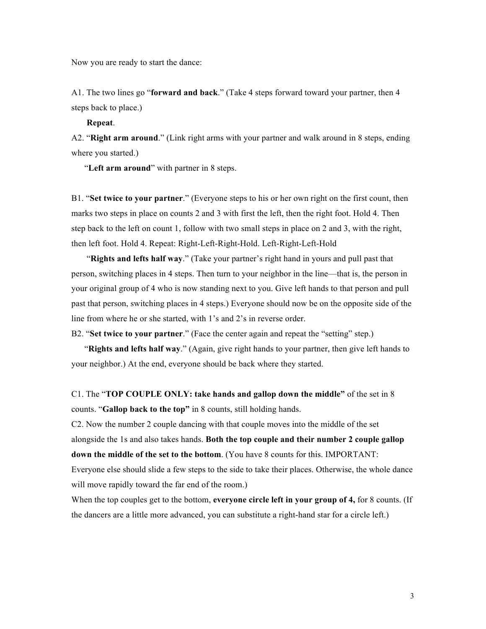Now you are ready to start the dance:

A1. The two lines go "**forward and back**." (Take 4 steps forward toward your partner, then 4 steps back to place.)

**Repeat**.

A2. "**Right arm around**." (Link right arms with your partner and walk around in 8 steps, ending where you started.)

"**Left arm around**" with partner in 8 steps.

B1. "**Set twice to your partner**." (Everyone steps to his or her own right on the first count, then marks two steps in place on counts 2 and 3 with first the left, then the right foot. Hold 4. Then step back to the left on count 1, follow with two small steps in place on 2 and 3, with the right, then left foot. Hold 4. Repeat: Right-Left-Right-Hold. Left-Right-Left-Hold

 "**Rights and lefts half way**." (Take your partner's right hand in yours and pull past that person, switching places in 4 steps. Then turn to your neighbor in the line—that is, the person in your original group of 4 who is now standing next to you. Give left hands to that person and pull past that person, switching places in 4 steps.) Everyone should now be on the opposite side of the line from where he or she started, with 1's and 2's in reverse order.

B2. "**Set twice to your partner**." (Face the center again and repeat the "setting" step.)

 "**Rights and lefts half way**." (Again, give right hands to your partner, then give left hands to your neighbor.) At the end, everyone should be back where they started.

C1. The "**TOP COUPLE ONLY: take hands and gallop down the middle"** of the set in 8 counts. "**Gallop back to the top"** in 8 counts, still holding hands.

C2. Now the number 2 couple dancing with that couple moves into the middle of the set alongside the 1s and also takes hands. **Both the top couple and their number 2 couple gallop down the middle of the set to the bottom**. (You have 8 counts for this. IMPORTANT: Everyone else should slide a few steps to the side to take their places. Otherwise, the whole dance will move rapidly toward the far end of the room.)

When the top couples get to the bottom, **everyone circle left in your group of 4,** for 8 counts. (If the dancers are a little more advanced, you can substitute a right-hand star for a circle left.)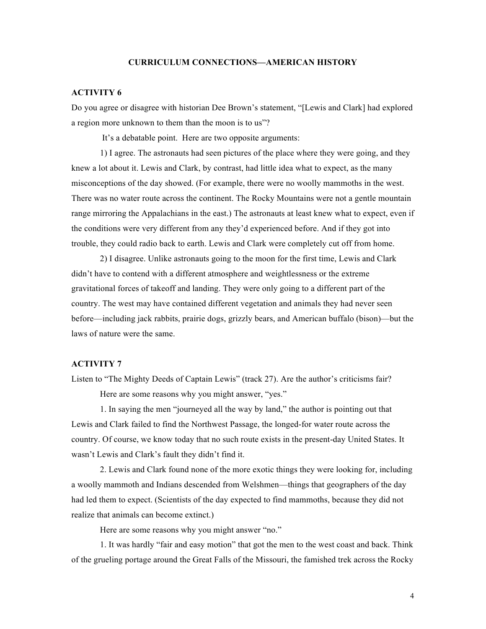#### **CURRICULUM CONNECTIONS—AMERICAN HISTORY**

# **ACTIVITY 6**

Do you agree or disagree with historian Dee Brown's statement, "[Lewis and Clark] had explored a region more unknown to them than the moon is to us"?

It's a debatable point. Here are two opposite arguments:

1) I agree. The astronauts had seen pictures of the place where they were going, and they knew a lot about it. Lewis and Clark, by contrast, had little idea what to expect, as the many misconceptions of the day showed. (For example, there were no woolly mammoths in the west. There was no water route across the continent. The Rocky Mountains were not a gentle mountain range mirroring the Appalachians in the east.) The astronauts at least knew what to expect, even if the conditions were very different from any they'd experienced before. And if they got into trouble, they could radio back to earth. Lewis and Clark were completely cut off from home.

2) I disagree. Unlike astronauts going to the moon for the first time, Lewis and Clark didn't have to contend with a different atmosphere and weightlessness or the extreme gravitational forces of takeoff and landing. They were only going to a different part of the country. The west may have contained different vegetation and animals they had never seen before—including jack rabbits, prairie dogs, grizzly bears, and American buffalo (bison)—but the laws of nature were the same.

## **ACTIVITY 7**

Listen to "The Mighty Deeds of Captain Lewis" (track 27). Are the author's criticisms fair? Here are some reasons why you might answer, "yes."

1. In saying the men "journeyed all the way by land," the author is pointing out that Lewis and Clark failed to find the Northwest Passage, the longed-for water route across the country. Of course, we know today that no such route exists in the present-day United States. It wasn't Lewis and Clark's fault they didn't find it.

2. Lewis and Clark found none of the more exotic things they were looking for, including a woolly mammoth and Indians descended from Welshmen—things that geographers of the day had led them to expect. (Scientists of the day expected to find mammoths, because they did not realize that animals can become extinct.)

Here are some reasons why you might answer "no."

1. It was hardly "fair and easy motion" that got the men to the west coast and back. Think of the grueling portage around the Great Falls of the Missouri, the famished trek across the Rocky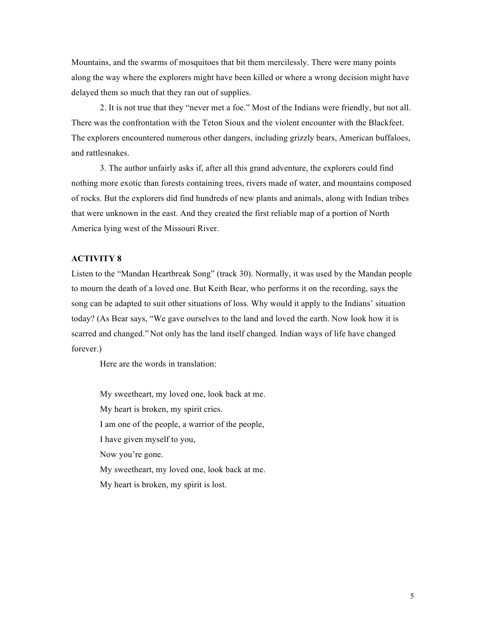Mountains, and the swarms of mosquitoes that bit them mercilessly. There were many points along the way where the explorers might have been killed or where a wrong decision might have delayed them so much that they ran out of supplies.

2. It is not true that they "never met a foe." Most of the Indians were friendly, but not all. There was the confrontation with the Teton Sioux and the violent encounter with the Blackfeet. The explorers encountered numerous other dangers, including grizzly bears, American buffaloes, and rattlesnakes.

3. The author unfairly asks if, after all this grand adventure, the explorers could find nothing more exotic than forests containing trees, rivers made of water, and mountains composed of rocks. But the explorers did find hundreds of new plants and animals, along with Indian tribes that were unknown in the east. And they created the first reliable map of a portion of North America lying west of the Missouri River.

# **ACTIVITY 8**

Listen to the "Mandan Heartbreak Song" (track 30). Normally, it was used by the Mandan people to mourn the death of a loved one. But Keith Bear, who performs it on the recording, says the song can be adapted to suit other situations of loss. Why would it apply to the Indians' situation today? (As Bear says, "We gave ourselves to the land and loved the earth. Now look how it is scarred and changed." Not only has the land itself changed. Indian ways of life have changed forever.)

Here are the words in translation:

My sweetheart, my loved one, look back at me. My heart is broken, my spirit cries. I am one of the people, a warrior of the people, I have given myself to you, Now you're gone. My sweetheart, my loved one, look back at me. My heart is broken, my spirit is lost.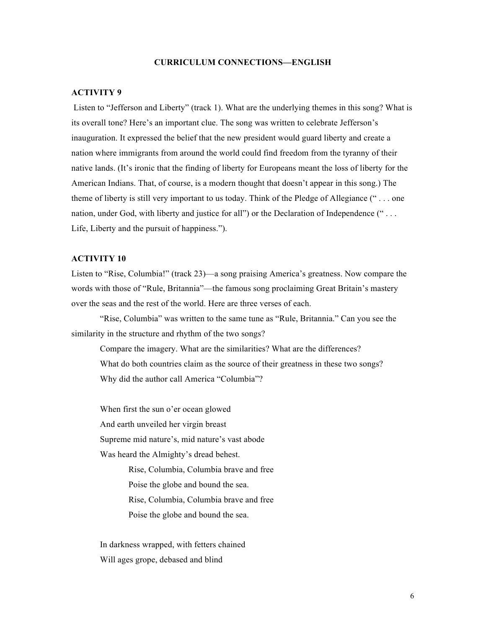# **CURRICULUM CONNECTIONS—ENGLISH**

#### **ACTIVITY 9**

Listen to "Jefferson and Liberty" (track 1). What are the underlying themes in this song? What is its overall tone? Here's an important clue. The song was written to celebrate Jefferson's inauguration. It expressed the belief that the new president would guard liberty and create a nation where immigrants from around the world could find freedom from the tyranny of their native lands. (It's ironic that the finding of liberty for Europeans meant the loss of liberty for the American Indians. That, of course, is a modern thought that doesn't appear in this song.) The theme of liberty is still very important to us today. Think of the Pledge of Allegiance (" . . . one nation, under God, with liberty and justice for all") or the Declaration of Independence ("... Life, Liberty and the pursuit of happiness.").

# **ACTIVITY 10**

Listen to "Rise, Columbia!" (track 23)—a song praising America's greatness. Now compare the words with those of "Rule, Britannia"—the famous song proclaiming Great Britain's mastery over the seas and the rest of the world. Here are three verses of each.

"Rise, Columbia" was written to the same tune as "Rule, Britannia." Can you see the similarity in the structure and rhythm of the two songs?

Compare the imagery. What are the similarities? What are the differences? What do both countries claim as the source of their greatness in these two songs? Why did the author call America "Columbia"?

When first the sun o'er ocean glowed And earth unveiled her virgin breast Supreme mid nature's, mid nature's vast abode Was heard the Almighty's dread behest.

> Rise, Columbia, Columbia brave and free Poise the globe and bound the sea. Rise, Columbia, Columbia brave and free Poise the globe and bound the sea.

In darkness wrapped, with fetters chained Will ages grope, debased and blind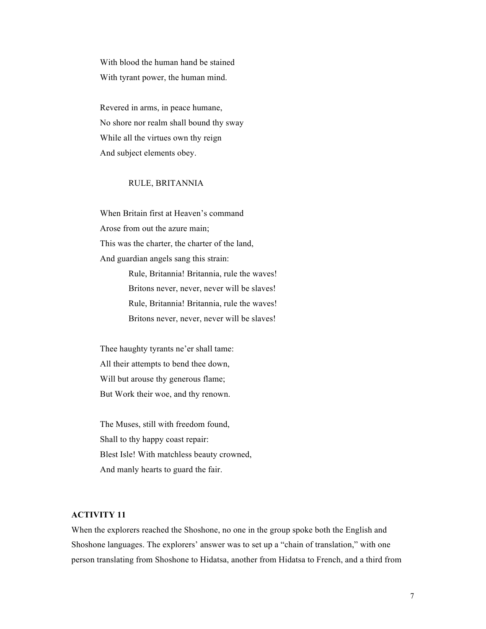With blood the human hand be stained With tyrant power, the human mind.

Revered in arms, in peace humane, No shore nor realm shall bound thy sway While all the virtues own thy reign And subject elements obey.

# RULE, BRITANNIA

When Britain first at Heaven's command Arose from out the azure main; This was the charter, the charter of the land, And guardian angels sang this strain: Rule, Britannia! Britannia, rule the waves! Britons never, never, never will be slaves! Rule, Britannia! Britannia, rule the waves! Britons never, never, never will be slaves!

Thee haughty tyrants ne'er shall tame: All their attempts to bend thee down, Will but arouse thy generous flame; But Work their woe, and thy renown.

The Muses, still with freedom found, Shall to thy happy coast repair: Blest Isle! With matchless beauty crowned, And manly hearts to guard the fair.

# **ACTIVITY 11**

When the explorers reached the Shoshone, no one in the group spoke both the English and Shoshone languages. The explorers' answer was to set up a "chain of translation," with one person translating from Shoshone to Hidatsa, another from Hidatsa to French, and a third from